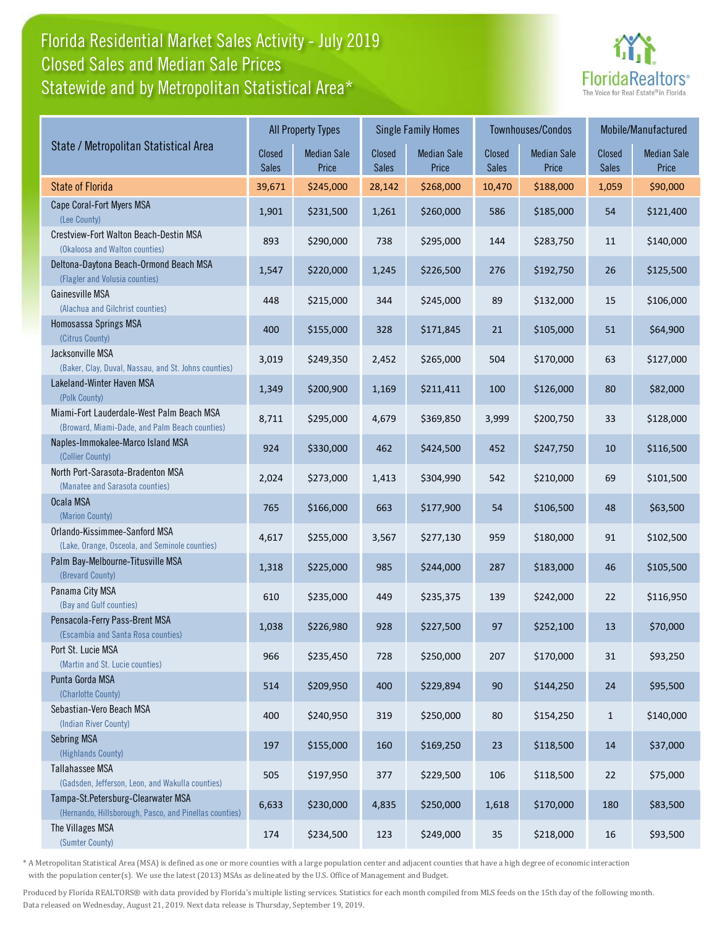## Florida Residential Market Sales Activity - July 2019 Statewide and by Metropolitan Statistical Area\* Closed Sales and Median Sale Prices



|                                                                                              | <b>All Property Types</b> |                             |                        | <b>Single Family Homes</b>  |                        | Townhouses/Condos           | Mobile/Manufactured    |                             |
|----------------------------------------------------------------------------------------------|---------------------------|-----------------------------|------------------------|-----------------------------|------------------------|-----------------------------|------------------------|-----------------------------|
| State / Metropolitan Statistical Area                                                        | Closed<br><b>Sales</b>    | <b>Median Sale</b><br>Price | Closed<br><b>Sales</b> | <b>Median Sale</b><br>Price | <b>Closed</b><br>Sales | <b>Median Sale</b><br>Price | Closed<br><b>Sales</b> | <b>Median Sale</b><br>Price |
| <b>State of Florida</b>                                                                      | 39,671                    | \$245,000                   | 28,142                 | \$268,000                   | 10,470                 | \$188,000                   | 1,059                  | \$90,000                    |
| Cape Coral-Fort Myers MSA<br>(Lee County)                                                    | 1,901                     | \$231,500                   | 1,261                  | \$260,000                   | 586                    | \$185,000                   | 54                     | \$121,400                   |
| Crestview-Fort Walton Beach-Destin MSA<br>(Okaloosa and Walton counties)                     | 893                       | \$290,000                   | 738                    | \$295,000                   | 144                    | \$283,750                   | 11                     | \$140,000                   |
| Deltona-Daytona Beach-Ormond Beach MSA<br>(Flagler and Volusia counties)                     | 1,547                     | \$220,000                   | 1,245                  | \$226,500                   | 276                    | \$192,750                   | 26                     | \$125,500                   |
| Gainesville MSA<br>(Alachua and Gilchrist counties)                                          | 448                       | \$215,000                   | 344                    | \$245,000                   | 89                     | \$132,000                   | 15                     | \$106,000                   |
| Homosassa Springs MSA<br>(Citrus County)                                                     | 400                       | \$155,000                   | 328                    | \$171,845                   | 21                     | \$105,000                   | 51                     | \$64,900                    |
| Jacksonville MSA<br>(Baker, Clay, Duval, Nassau, and St. Johns counties)                     | 3,019                     | \$249,350                   | 2,452                  | \$265,000                   | 504                    | \$170,000                   | 63                     | \$127,000                   |
| Lakeland-Winter Haven MSA<br>(Polk County)                                                   | 1,349                     | \$200,900                   | 1,169                  | \$211,411                   | 100                    | \$126,000                   | 80                     | \$82,000                    |
| Miami-Fort Lauderdale-West Palm Beach MSA<br>(Broward, Miami-Dade, and Palm Beach counties)  | 8,711                     | \$295,000                   | 4,679                  | \$369,850                   | 3,999                  | \$200,750                   | 33                     | \$128,000                   |
| Naples-Immokalee-Marco Island MSA<br>(Collier County)                                        | 924                       | \$330,000                   | 462                    | \$424,500                   | 452                    | \$247,750                   | 10                     | \$116,500                   |
| North Port-Sarasota-Bradenton MSA<br>(Manatee and Sarasota counties)                         | 2,024                     | \$273,000                   | 1,413                  | \$304,990                   | 542                    | \$210,000                   | 69                     | \$101,500                   |
| Ocala MSA<br>(Marion County)                                                                 | 765                       | \$166,000                   | 663                    | \$177,900                   | 54                     | \$106,500                   | 48                     | \$63,500                    |
| Orlando-Kissimmee-Sanford MSA<br>(Lake, Orange, Osceola, and Seminole counties)              | 4,617                     | \$255,000                   | 3,567                  | \$277,130                   | 959                    | \$180,000                   | 91                     | \$102,500                   |
| Palm Bay-Melbourne-Titusville MSA<br>(Brevard County)                                        | 1,318                     | \$225,000                   | 985                    | \$244,000                   | 287                    | \$183,000                   | 46                     | \$105,500                   |
| Panama City MSA<br>(Bay and Gulf counties)                                                   | 610                       | \$235,000                   | 449                    | \$235,375                   | 139                    | \$242,000                   | 22                     | \$116,950                   |
| Pensacola-Ferry Pass-Brent MSA<br>(Escambia and Santa Rosa counties)                         | 1,038                     | \$226,980                   | 928                    | \$227,500                   | 97                     | \$252,100                   | 13                     | \$70,000                    |
| Port St. Lucie MSA<br>(Martin and St. Lucie counties)                                        | 966                       | \$235,450                   | 728                    | \$250,000                   | 207                    | \$170,000                   | 31                     | \$93,250                    |
| Punta Gorda MSA<br>(Charlotte County)                                                        | 514                       | \$209,950                   | 400                    | \$229,894                   | 90                     | \$144,250                   | 24                     | \$95,500                    |
| Sebastian-Vero Beach MSA<br>(Indian River County)                                            | 400                       | \$240,950                   | 319                    | \$250,000                   | $80\,$                 | \$154,250                   | $\mathbf{1}$           | \$140,000                   |
| <b>Sebring MSA</b><br>(Highlands County)                                                     | 197                       | \$155,000                   | 160                    | \$169,250                   | 23                     | \$118,500                   | 14                     | \$37,000                    |
| Tallahassee MSA<br>(Gadsden, Jefferson, Leon, and Wakulla counties)                          | 505                       | \$197,950                   | 377                    | \$229,500                   | 106                    | \$118,500                   | 22                     | \$75,000                    |
| Tampa-St.Petersburg-Clearwater MSA<br>(Hernando, Hillsborough, Pasco, and Pinellas counties) | 6,633                     | \$230,000                   | 4,835                  | \$250,000                   | 1,618                  | \$170,000                   | 180                    | \$83,500                    |
| The Villages MSA<br>(Sumter County)                                                          | 174                       | \$234,500                   | 123                    | \$249,000                   | 35                     | \$218,000                   | 16                     | \$93,500                    |

\* A Metropolitan Statistical Area (MSA) is defined as one or more counties with a large population center and adjacent counties that have a high degree of economic interaction with the population center(s). We use the latest (2013) MSAs as delineated by the U.S. Office of Management and Budget.

Produced by Florida REALTORS® with data provided by Florida's multiple listing services. Statistics for each month compiled from MLS feeds on the 15th day of the following month. Data released on Wednesday, August 21, 2019. Next data release is Thursday, September 19, 2019.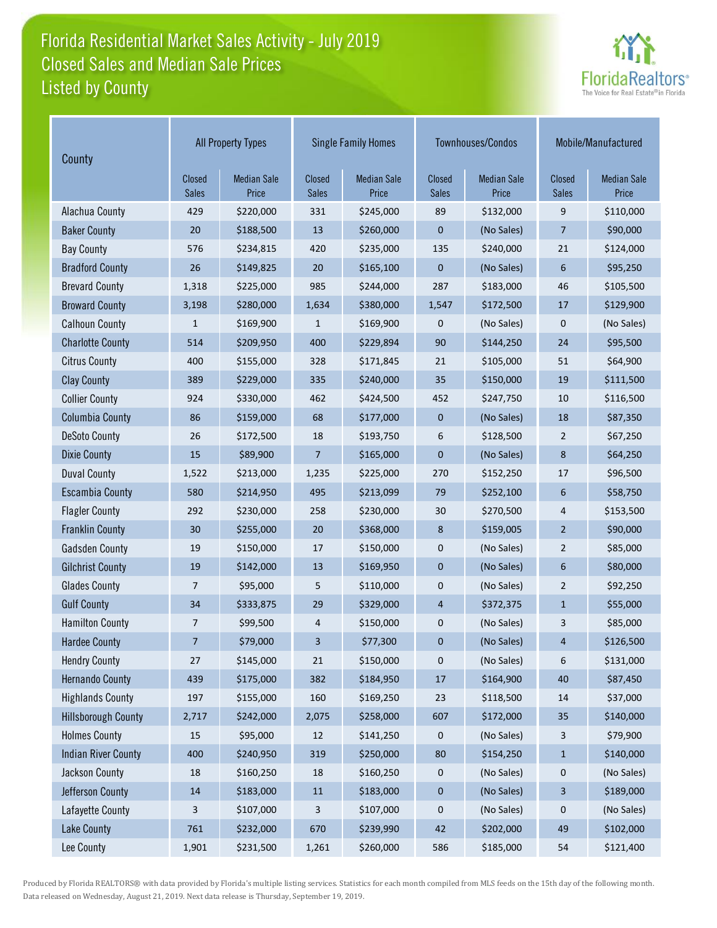## Florida Residential Market Sales Activity - July 2019 Listed by County Closed Sales and Median Sale Prices



| County                     | <b>All Property Types</b> |                             |                        | <b>Single Family Homes</b>  |                        | Townhouses/Condos           | Mobile/Manufactured    |                             |
|----------------------------|---------------------------|-----------------------------|------------------------|-----------------------------|------------------------|-----------------------------|------------------------|-----------------------------|
|                            | Closed<br><b>Sales</b>    | <b>Median Sale</b><br>Price | Closed<br><b>Sales</b> | <b>Median Sale</b><br>Price | Closed<br><b>Sales</b> | <b>Median Sale</b><br>Price | Closed<br><b>Sales</b> | <b>Median Sale</b><br>Price |
| Alachua County             | 429                       | \$220,000                   | 331                    | \$245,000                   | 89                     | \$132,000                   | 9                      | \$110,000                   |
| <b>Baker County</b>        | 20                        | \$188,500                   | 13                     | \$260,000                   | 0                      | (No Sales)                  | 7                      | \$90,000                    |
| <b>Bay County</b>          | 576                       | \$234,815                   | 420                    | \$235,000                   | 135                    | \$240,000                   | 21                     | \$124,000                   |
| <b>Bradford County</b>     | 26                        | \$149,825                   | 20                     | \$165,100                   | 0                      | (No Sales)                  | 6                      | \$95,250                    |
| <b>Brevard County</b>      | 1,318                     | \$225,000                   | 985                    | \$244,000                   | 287                    | \$183,000                   | 46                     | \$105,500                   |
| <b>Broward County</b>      | 3,198                     | \$280,000                   | 1,634                  | \$380,000                   | 1,547                  | \$172,500                   | 17                     | \$129,900                   |
| <b>Calhoun County</b>      | $\mathbf{1}$              | \$169,900                   | $\mathbf{1}$           | \$169,900                   | 0                      | (No Sales)                  | 0                      | (No Sales)                  |
| <b>Charlotte County</b>    | 514                       | \$209,950                   | 400                    | \$229,894                   | 90                     | \$144,250                   | 24                     | \$95,500                    |
| <b>Citrus County</b>       | 400                       | \$155,000                   | 328                    | \$171,845                   | 21                     | \$105,000                   | 51                     | \$64,900                    |
| <b>Clay County</b>         | 389                       | \$229,000                   | 335                    | \$240,000                   | 35                     | \$150,000                   | 19                     | \$111,500                   |
| <b>Collier County</b>      | 924                       | \$330,000                   | 462                    | \$424,500                   | 452                    | \$247,750                   | 10                     | \$116,500                   |
| <b>Columbia County</b>     | 86                        | \$159,000                   | 68                     | \$177,000                   | 0                      | (No Sales)                  | 18                     | \$87,350                    |
| <b>DeSoto County</b>       | 26                        | \$172,500                   | 18                     | \$193,750                   | 6                      | \$128,500                   | $\overline{2}$         | \$67,250                    |
| <b>Dixie County</b>        | 15                        | \$89,900                    | 7                      | \$165,000                   | 0                      | (No Sales)                  | 8                      | \$64,250                    |
| <b>Duval County</b>        | 1,522                     | \$213,000                   | 1,235                  | \$225,000                   | 270                    | \$152,250                   | 17                     | \$96,500                    |
| <b>Escambia County</b>     | 580                       | \$214,950                   | 495                    | \$213,099                   | 79                     | \$252,100                   | 6                      | \$58,750                    |
| <b>Flagler County</b>      | 292                       | \$230,000                   | 258                    | \$230,000                   | 30                     | \$270,500                   | 4                      | \$153,500                   |
| <b>Franklin County</b>     | 30                        | \$255,000                   | 20                     | \$368,000                   | 8                      | \$159,005                   | $\overline{2}$         | \$90,000                    |
| <b>Gadsden County</b>      | 19                        | \$150,000                   | 17                     | \$150,000                   | 0                      | (No Sales)                  | $\overline{2}$         | \$85,000                    |
| <b>Gilchrist County</b>    | 19                        | \$142,000                   | 13                     | \$169,950                   | 0                      | (No Sales)                  | 6                      | \$80,000                    |
| <b>Glades County</b>       | $\overline{7}$            | \$95,000                    | 5                      | \$110,000                   | 0                      | (No Sales)                  | $\overline{2}$         | \$92,250                    |
| <b>Gulf County</b>         | 34                        | \$333,875                   | 29                     | \$329,000                   | 4                      | \$372,375                   | $1\,$                  | \$55,000                    |
| <b>Hamilton County</b>     | 7                         | \$99,500                    | 4                      | \$150,000                   | 0                      | (No Sales)                  | 3                      | \$85,000                    |
| <b>Hardee County</b>       | $\overline{7}$            | \$79,000                    | 3                      | \$77,300                    | 0                      | (No Sales)                  | 4                      | \$126,500                   |
| <b>Hendry County</b>       | 27                        | \$145,000                   | 21                     | \$150,000                   | 0                      | (No Sales)                  | 6                      | \$131,000                   |
| <b>Hernando County</b>     | 439                       | \$175,000                   | 382                    | \$184,950                   | $17\,$                 | \$164,900                   | $40\,$                 | \$87,450                    |
| <b>Highlands County</b>    | 197                       | \$155,000                   | 160                    | \$169,250                   | 23                     | \$118,500                   | 14                     | \$37,000                    |
| <b>Hillsborough County</b> | 2,717                     | \$242,000                   | 2,075                  | \$258,000                   | 607                    | \$172,000                   | 35                     | \$140,000                   |
| <b>Holmes County</b>       | 15                        | \$95,000                    | 12                     | \$141,250                   | 0                      | (No Sales)                  | 3                      | \$79,900                    |
| <b>Indian River County</b> | 400                       | \$240,950                   | 319                    | \$250,000                   | 80                     | \$154,250                   | $\mathbf{1}$           | \$140,000                   |
| Jackson County             | $18\,$                    | \$160,250                   | 18                     | \$160,250                   | 0                      | (No Sales)                  | 0                      | (No Sales)                  |
| Jefferson County           | $14\,$                    | \$183,000                   | $11\,$                 | \$183,000                   | 0                      | (No Sales)                  | 3                      | \$189,000                   |
| Lafayette County           | 3                         | \$107,000                   | 3                      | \$107,000                   | 0                      | (No Sales)                  | 0                      | (No Sales)                  |
| <b>Lake County</b>         | 761                       | \$232,000                   | 670                    | \$239,990                   | 42                     | \$202,000                   | 49                     | \$102,000                   |
| Lee County                 | 1,901                     | \$231,500                   | 1,261                  | \$260,000                   | 586                    | \$185,000                   | 54                     | \$121,400                   |

Produced by Florida REALTORS® with data provided by Florida's multiple listing services. Statistics for each month compiled from MLS feeds on the 15th day of the following month. Data released on Wednesday, August 21, 2019. Next data release is Thursday, September 19, 2019.